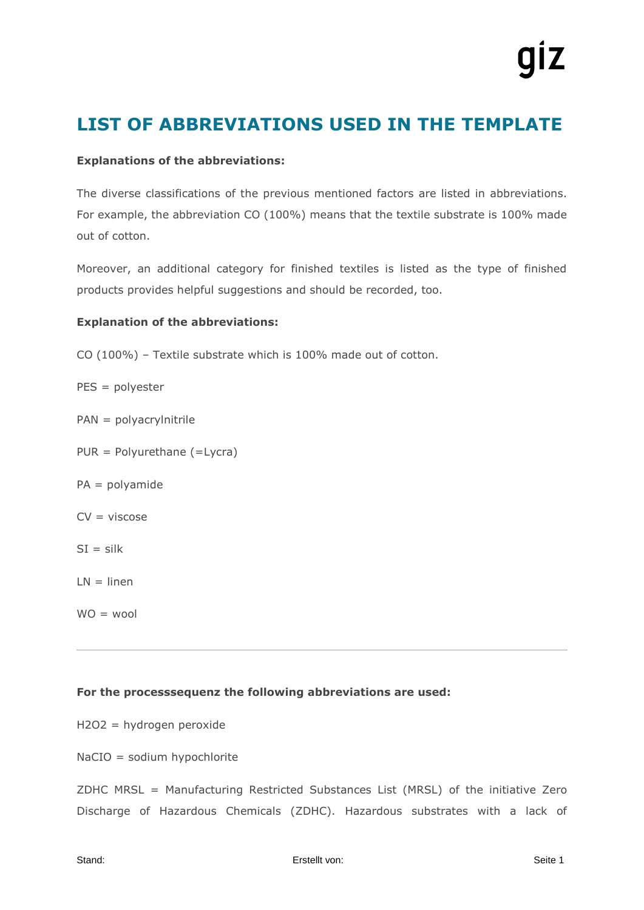## **LIST OF ABBREVIATIONS USED IN THE TEMPLATE**

### **Explanations of the abbreviations:**

The diverse classifications of the previous mentioned factors are listed in abbreviations. For example, the abbreviation CO (100%) means that the textile substrate is 100% made out of cotton.

Moreover, an additional category for finished textiles is listed as the type of finished products provides helpful suggestions and should be recorded, too.

#### **Explanation of the abbreviations:**

- CO (100%) Textile substrate which is 100% made out of cotton.
- PES = polyester
- PAN = polyacrylnitrile
- PUR = Polyurethane (=Lycra)
- PA = polyamide
- $CV = viscose$
- $SI = silk$
- $LN = linen$
- $WO = wood$

#### **For the processsequenz the following abbreviations are used:**

H2O2 = hydrogen peroxide

NaCIO = sodium hypochlorite

ZDHC MRSL = Manufacturing Restricted Substances List (MRSL) of the initiative Zero Discharge of Hazardous Chemicals (ZDHC). Hazardous substrates with a lack of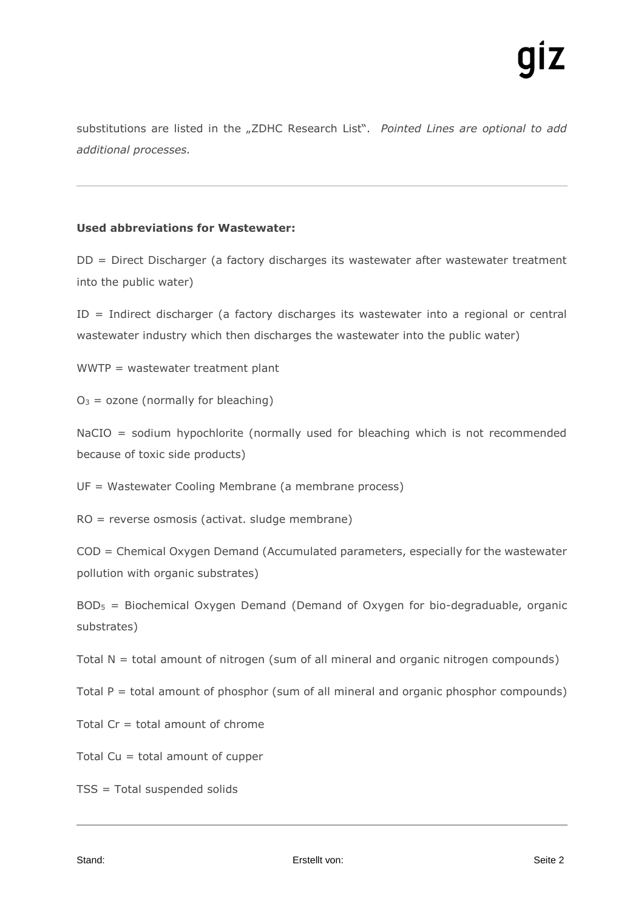substitutions are listed in the "ZDHC Research List". Pointed Lines are optional to add *additional processes.*

#### **Used abbreviations for Wastewater:**

DD = Direct Discharger (a factory discharges its wastewater after wastewater treatment into the public water)

ID = Indirect discharger (a factory discharges its wastewater into a regional or central wastewater industry which then discharges the wastewater into the public water)

WWTP = wastewater treatment plant

 $O_3$  = ozone (normally for bleaching)

NaCIO = sodium hypochlorite (normally used for bleaching which is not recommended because of toxic side products)

UF = Wastewater Cooling Membrane (a membrane process)

RO = reverse osmosis (activat. sludge membrane)

COD = Chemical Oxygen Demand (Accumulated parameters, especially for the wastewater pollution with organic substrates)

 $BOD<sub>5</sub>$  = Biochemical Oxygen Demand (Demand of Oxygen for bio-degraduable, organic substrates)

Total  $N =$  total amount of nitrogen (sum of all mineral and organic nitrogen compounds)

Total  $P =$  total amount of phosphor (sum of all mineral and organic phosphor compounds)

Total Cr = total amount of chrome

Total Cu = total amount of cupper

TSS = Total suspended solids